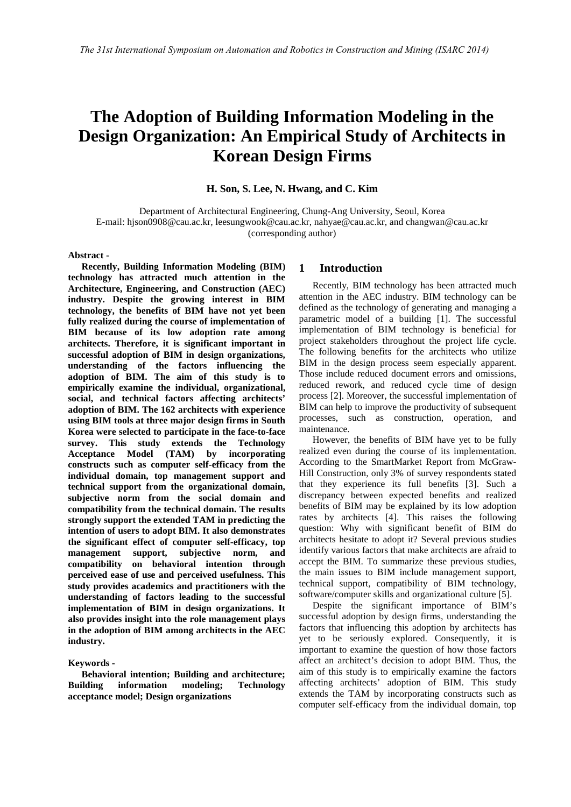# **The Adoption of Building Information Modeling in the Design Organization: An Empirical Study of Architects in Korean Design Firms**

## **H. Son, S. Lee, N. Hwang, and C. Kim**

Department of Architectural Engineering, Chung-Ang University, Seoul, Korea E-mail: hjson0908@cau.ac.kr, leesungwook@cau.ac.kr, nahyae@cau.ac.kr, and changwan@cau.ac.kr (corresponding author)

#### **Abstract -**

**Recently, Building Information Modeling (BIM) technology has attracted much attention in the Architecture, Engineering, and Construction (AEC) industry. Despite the growing interest in BIM technology, the benefits of BIM have not yet been fully realized during the course of implementation of BIM because of its low adoption rate among architects. Therefore, it is significant important in successful adoption of BIM in design organizations, understanding of the factors influencing the adoption of BIM. The aim of this study is to empirically examine the individual, organizational, social, and technical factors affecting architects' adoption of BIM. The 162 architects with experience using BIM tools at three major design firms in South Korea were selected to participate in the face-to-face survey. This study extends the Technology Acceptance Model (TAM) by incorporating constructs such as computer self-efficacy from the individual domain, top management support and technical support from the organizational domain, subjective norm from the social domain and compatibility from the technical domain. The results strongly support the extended TAM in predicting the intention of users to adopt BIM. It also demonstrates the significant effect of computer self-efficacy, top management support, subjective norm, and compatibility on behavioral intention through perceived ease of use and perceived usefulness. This study provides academics and practitioners with the understanding of factors leading to the successful implementation of BIM in design organizations. It also provides insight into the role management plays in the adoption of BIM among architects in the AEC industry.**

#### **Keywords -**

**Behavioral intention; Building and architecture; Building information modeling; Technology acceptance model; Design organizations**

# **1 Introduction**

Recently, BIM technology has been attracted much attention in the AEC industry. BIM technology can be defined as the technology of generating and managing a parametric model of a building [1]. The successful implementation of BIM technology is beneficial for project stakeholders throughout the project life cycle. The following benefits for the architects who utilize BIM in the design process seem especially apparent. Those include reduced document errors and omissions, reduced rework, and reduced cycle time of design process [2]. Moreover, the successful implementation of BIM can help to improve the productivity of subsequent processes, such as construction, operation, and maintenance.

However, the benefits of BIM have yet to be fully realized even during the course of its implementation. According to the SmartMarket Report from McGraw-Hill Construction, only 3% of survey respondents stated that they experience its full benefits [3]. Such a discrepancy between expected benefits and realized benefits of BIM may be explained by its low adoption rates by architects [4]. This raises the following question: Why with significant benefit of BIM do architects hesitate to adopt it? Several previous studies identify various factors that make architects are afraid to accept the BIM. To summarize these previous studies, the main issues to BIM include management support, technical support, compatibility of BIM technology, software/computer skills and organizational culture [5].

Despite the significant importance of BIM's successful adoption by design firms, understanding the factors that influencing this adoption by architects has yet to be seriously explored. Consequently, it is important to examine the question of how those factors affect an architect's decision to adopt BIM. Thus, the aim of this study is to empirically examine the factors affecting architects' adoption of BIM. This study extends the TAM by incorporating constructs such as computer self-efficacy from the individual domain, top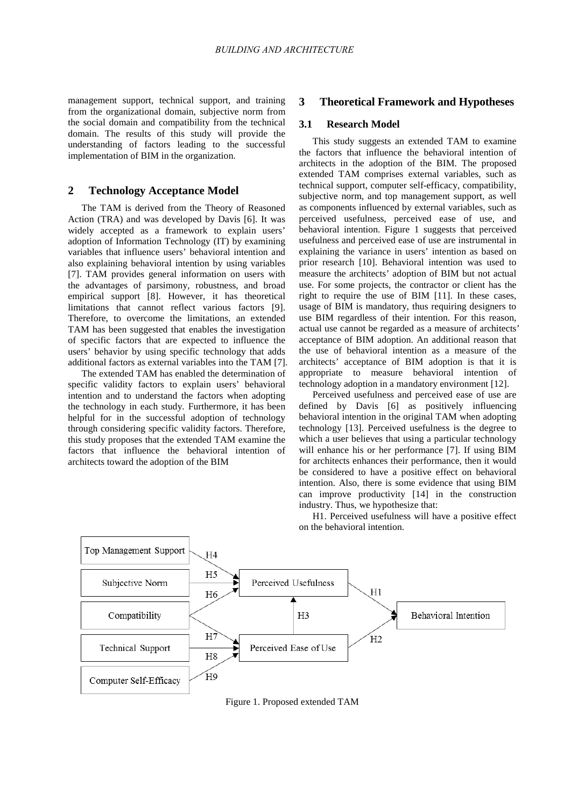management support, technical support, and training from the organizational domain, subjective norm from the social domain and compatibility from the technical domain. The results of this study will provide the understanding of factors leading to the successful implementation of BIM in the organization.

# **2 Technology Acceptance Model**

The TAM is derived from the Theory of Reasoned Action (TRA) and was developed by Davis [6]. It was widely accepted as a framework to explain users' adoption of Information Technology (IT) by examining variables that influence users' behavioral intention and also explaining behavioral intention by using variables [7]. TAM provides general information on users with the advantages of parsimony, robustness, and broad empirical support [8]. However, it has theoretical limitations that cannot reflect various factors [9]. Therefore, to overcome the limitations, an extended TAM has been suggested that enables the investigation of specific factors that are expected to influence the users' behavior by using specific technology that adds additional factors as external variables into the TAM [7].

The extended TAM has enabled the determination of specific validity factors to explain users' behavioral intention and to understand the factors when adopting the technology in each study. Furthermore, it has been helpful for in the successful adoption of technology through considering specific validity factors. Therefore, this study proposes that the extended TAM examine the factors that influence the behavioral intention of architects toward the adoption of the BIM

# **3 Theoretical Framework and Hypotheses**

## **3.1 Research Model**

This study suggests an extended TAM to examine the factors that influence the behavioral intention of architects in the adoption of the BIM. The proposed extended TAM comprises external variables, such as technical support, computer self-efficacy, compatibility, subjective norm, and top management support, as well as components influenced by external variables, such as perceived usefulness, perceived ease of use, and behavioral intention. Figure 1 suggests that perceived usefulness and perceived ease of use are instrumental in explaining the variance in users' intention as based on prior research [10]. Behavioral intention was used to measure the architects' adoption of BIM but not actual use. For some projects, the contractor or client has the right to require the use of BIM [11]. In these cases, usage of BIM is mandatory, thus requiring designers to use BIM regardless of their intention. For this reason, actual use cannot be regarded as a measure of architects' acceptance of BIM adoption. An additional reason that the use of behavioral intention as a measure of the architects' acceptance of BIM adoption is that it is appropriate to measure behavioral intention of technology adoption in a mandatory environment [12].

Perceived usefulness and perceived ease of use are defined by Davis [6] as positively influencing behavioral intention in the original TAM when adopting technology [13]. Perceived usefulness is the degree to which a user believes that using a particular technology will enhance his or her performance [7]. If using BIM for architects enhances their performance, then it would be considered to have a positive effect on behavioral intention. Also, there is some evidence that using BIM can improve productivity [14] in the construction industry. Thus, we hypothesize that:

H1. Perceived usefulness will have a positive effect on the behavioral intention.



Figure 1. Proposed extended TAM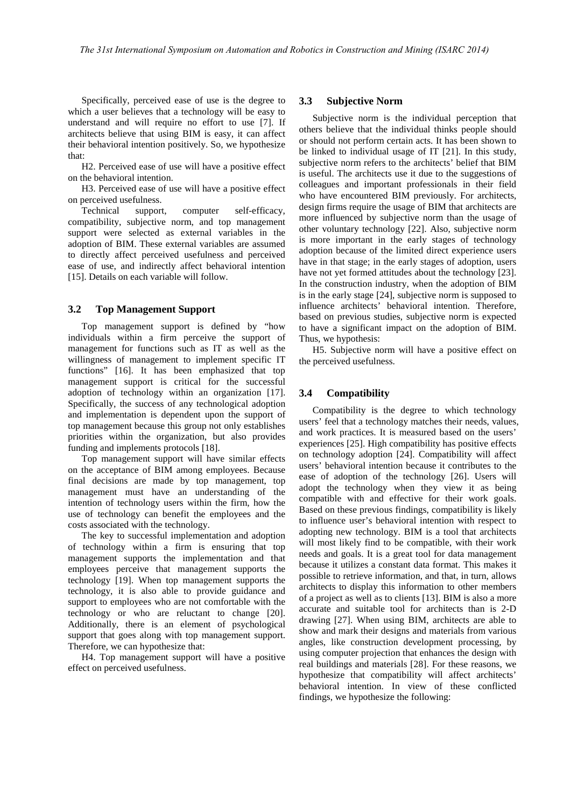Specifically, perceived ease of use is the degree to which a user believes that a technology will be easy to understand and will require no effort to use [7]. If architects believe that using BIM is easy, it can affect their behavioral intention positively. So, we hypothesize that:

H2. Perceived ease of use will have a positive effect on the behavioral intention.

H3. Perceived ease of use will have a positive effect on perceived usefulness.

Technical support, computer self-efficacy, compatibility, subjective norm, and top management support were selected as external variables in the adoption of BIM. These external variables are assumed to directly affect perceived usefulness and perceived ease of use, and indirectly affect behavioral intention [15]. Details on each variable will follow.

## **3.2 Top Management Support**

Top management support is defined by "how individuals within a firm perceive the support of management for functions such as IT as well as the willingness of management to implement specific IT functions" [16]. It has been emphasized that top management support is critical for the successful adoption of technology within an organization [17]. Specifically, the success of any technological adoption and implementation is dependent upon the support of top management because this group not only establishes priorities within the organization, but also provides funding and implements protocols [18].

Top management support will have similar effects on the acceptance of BIM among employees. Because final decisions are made by top management, top management must have an understanding of the intention of technology users within the firm, how the use of technology can benefit the employees and the costs associated with the technology.

The key to successful implementation and adoption of technology within a firm is ensuring that top management supports the implementation and that employees perceive that management supports the technology [19]. When top management supports the technology, it is also able to provide guidance and support to employees who are not comfortable with the technology or who are reluctant to change [20]. Additionally, there is an element of psychological support that goes along with top management support. Therefore, we can hypothesize that:

H4. Top management support will have a positive effect on perceived usefulness.

#### **3.3 Subjective Norm**

Subjective norm is the individual perception that others believe that the individual thinks people should or should not perform certain acts. It has been shown to be linked to individual usage of IT [21]. In this study, subjective norm refers to the architects' belief that BIM is useful. The architects use it due to the suggestions of colleagues and important professionals in their field who have encountered BIM previously. For architects, design firms require the usage of BIM that architects are more influenced by subjective norm than the usage of other voluntary technology [22]. Also, subjective norm is more important in the early stages of technology adoption because of the limited direct experience users have in that stage; in the early stages of adoption, users have not yet formed attitudes about the technology [23]. In the construction industry, when the adoption of BIM is in the early stage [24], subjective norm is supposed to influence architects' behavioral intention. Therefore, based on previous studies, subjective norm is expected to have a significant impact on the adoption of BIM. Thus, we hypothesis:

H5. Subjective norm will have a positive effect on the perceived usefulness.

## **3.4 Compatibility**

Compatibility is the degree to which technology users' feel that a technology matches their needs, values, and work practices. It is measured based on the users' experiences [25]. High compatibility has positive effects on technology adoption [24]. Compatibility will affect users' behavioral intention because it contributes to the ease of adoption of the technology [26]. Users will adopt the technology when they view it as being compatible with and effective for their work goals. Based on these previous findings, compatibility is likely to influence user's behavioral intention with respect to adopting new technology. BIM is a tool that architects will most likely find to be compatible, with their work needs and goals. It is a great tool for data management because it utilizes a constant data format. This makes it possible to retrieve information, and that, in turn, allows architects to display this information to other members of a project as well as to clients [13]. BIM is also a more accurate and suitable tool for architects than is 2-D drawing [27]. When using BIM, architects are able to show and mark their designs and materials from various angles, like construction development processing, by using computer projection that enhances the design with real buildings and materials [28]. For these reasons, we hypothesize that compatibility will affect architects' behavioral intention. In view of these conflicted findings, we hypothesize the following: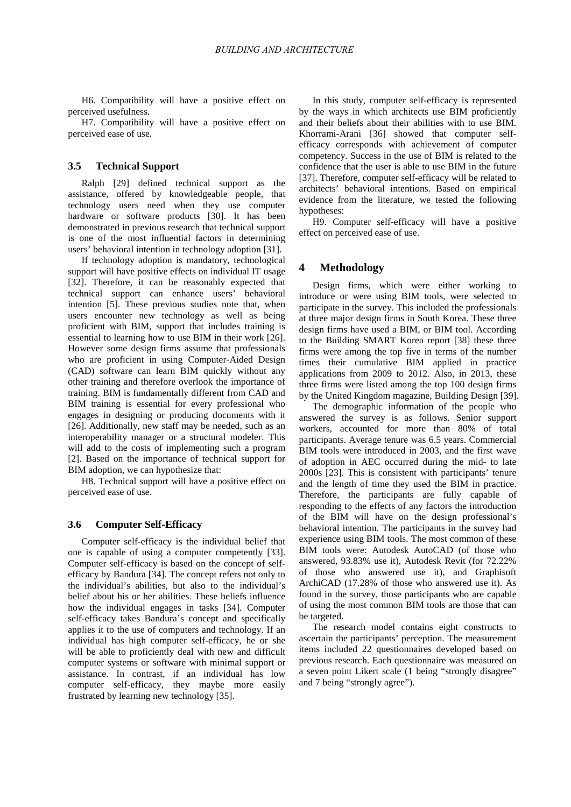H6. Compatibility will have a positive effect on perceived usefulness.

H7. Compatibility will have a positive effect on perceived ease of use.

#### **3.5 Technical Support**

Ralph [29] defined technical support as the assistance, offered by knowledgeable people, that technology users need when they use computer hardware or software products [30]. It has been demonstrated in previous research that technical support is one of the most influential factors in determining users' behavioral intention in technology adoption [31].

If technology adoption is mandatory, technological support will have positive effects on individual IT usage [32]. Therefore, it can be reasonably expected that technical support can enhance users' behavioral intention [5]. These previous studies note that, when users encounter new technology as well as being proficient with BIM, support that includes training is essential to learning how to use BIM in their work [26]. However some design firms assume that professionals who are proficient in using Computer‐Aided Design (CAD) software can learn BIM quickly without any other training and therefore overlook the importance of training. BIM is fundamentally different from CAD and BIM training is essential for every professional who engages in designing or producing documents with it [26]. Additionally, new staff may be needed, such as an interoperability manager or a structural modeler. This will add to the costs of implementing such a program [2]. Based on the importance of technical support for BIM adoption, we can hypothesize that:

H8. Technical support will have a positive effect on perceived ease of use.

### **3.6 Computer Self-Efficacy**

Computer self-efficacy is the individual belief that one is capable of using a computer competently [33]. Computer self-efficacy is based on the concept of selfefficacy by Bandura [34]. The concept refers not only to the individual's abilities, but also to the individual's belief about his or her abilities. These beliefs influence how the individual engages in tasks [34]. Computer self-efficacy takes Bandura's concept and specifically applies it to the use of computers and technology. If an individual has high computer self-efficacy, he or she will be able to proficiently deal with new and difficult computer systems or software with minimal support or assistance. In contrast, if an individual has low computer self-efficacy, they maybe more easily frustrated by learning new technology [35].

In this study, computer self-efficacy is represented by the ways in which architects use BIM proficiently and their beliefs about their abilities with to use BIM. Khorrami-Arani [36] showed that computer selfefficacy corresponds with achievement of computer competency. Success in the use of BIM is related to the confidence that the user is able to use BIM in the future [37]. Therefore, computer self-efficacy will be related to architects' behavioral intentions. Based on empirical evidence from the literature, we tested the following hypotheses:

H9. Computer self-efficacy will have a positive effect on perceived ease of use.

#### **4 Methodology**

Design firms, which were either working to introduce or were using BIM tools, were selected to participate in the survey. This included the professionals at three major design firms in South Korea. These three design firms have used a BIM, or BIM tool. According to the Building SMART Korea report [38] these three firms were among the top five in terms of the number times their cumulative BIM applied in practice applications from 2009 to 2012. Also, in 2013, these three firms were listed among the top 100 design firms by the United Kingdom magazine, Building Design [39].

The demographic information of the people who answered the survey is as follows. Senior support workers, accounted for more than 80% of total participants. Average tenure was 6.5 years. Commercial BIM tools were introduced in 2003, and the first wave of adoption in AEC occurred during the mid- to late 2000s [23]. This is consistent with participants' tenure and the length of time they used the BIM in practice. Therefore, the participants are fully capable of responding to the effects of any factors the introduction of the BIM will have on the design professional's behavioral intention. The participants in the survey had experience using BIM tools. The most common of these BIM tools were: Autodesk AutoCAD (of those who answered, 93.83% use it), Autodesk Revit (for 72.22% of those who answered use it), and Graphisoft ArchiCAD (17.28% of those who answered use it). As found in the survey, those participants who are capable of using the most common BIM tools are those that can be targeted.

The research model contains eight constructs to ascertain the participants' perception. The measurement items included 22 questionnaires developed based on previous research. Each questionnaire was measured on a seven point Likert scale (1 being "strongly disagree" and 7 being "strongly agree").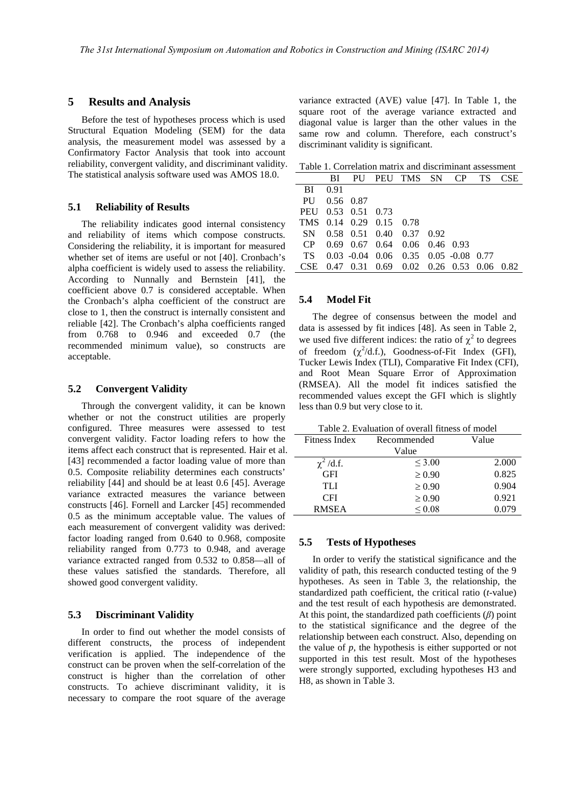## **5 Results and Analysis**

Before the test of hypotheses process which is used Structural Equation Modeling (SEM) for the data analysis, the measurement model was assessed by a Confirmatory Factor Analysis that took into account reliability, convergent validity, and discriminant validity. The statistical analysis software used was AMOS 18.0.

# **5.1 Reliability of Results**

The reliability indicates good internal consistency and reliability of items which compose constructs. Considering the reliability, it is important for measured whether set of items are useful or not [40]. Cronbach's alpha coefficient is widely used to assess the reliability. According to Nunnally and Bernstein [41], the coefficient above 0.7 is considered acceptable. When the Cronbach's alpha coefficient of the construct are close to 1, then the construct is internally consistent and reliable [42]. The Cronbach's alpha coefficients ranged from 0.768 to 0.946 and exceeded 0.7 (the recommended minimum value), so constructs are acceptable.

#### **5.2 Convergent Validity**

Through the convergent validity, it can be known whether or not the construct utilities are properly configured. Three measures were assessed to test convergent validity. Factor loading refers to how the items affect each construct that is represented. Hair et al. [43] recommended a factor loading value of more than 0.5. Composite reliability determines each constructs' reliability [44] and should be at least 0.6 [45]. Average variance extracted measures the variance between constructs [46]. Fornell and Larcker [45] recommended 0.5 as the minimum acceptable value. The values of each measurement of convergent validity was derived: factor loading ranged from 0.640 to 0.968, composite reliability ranged from 0.773 to 0.948, and average variance extracted ranged from 0.532 to 0.858—all of these values satisfied the standards. Therefore, all showed good convergent validity.

#### **5.3 Discriminant Validity**

In order to find out whether the model consists of different constructs, the process of independent verification is applied. The independence of the construct can be proven when the self-correlation of the construct is higher than the correlation of other constructs. To achieve discriminant validity, it is necessary to compare the root square of the average variance extracted (AVE) value [47]. In Table 1, the square root of the average variance extracted and diagonal value is larger than the other values in the same row and column. Therefore, each construct's discriminant validity is significant.

Table 1. Correlation matrix and discriminant assessment

|            | BI           |                         |  | PU PEU TMS SN CP TS                              |  |  |  | <b>CSE</b> |
|------------|--------------|-------------------------|--|--------------------------------------------------|--|--|--|------------|
| BI         | 0.91         |                         |  |                                                  |  |  |  |            |
|            | PU 0.56 0.87 |                         |  |                                                  |  |  |  |            |
|            |              | PEU 0.53 0.51 0.73      |  |                                                  |  |  |  |            |
|            |              | TMS 0.14 0.29 0.15 0.78 |  |                                                  |  |  |  |            |
|            |              |                         |  | SN 0.58 0.51 0.40 0.37 0.92                      |  |  |  |            |
| CP         |              |                         |  | $0.69$ $0.67$ $0.64$ $0.06$ $0.46$ $0.93$        |  |  |  |            |
| TS —       |              |                         |  | $0.03 - 0.04$ $0.06$ $0.35$ $0.05 - 0.08$ $0.77$ |  |  |  |            |
| <b>CSE</b> |              |                         |  | 0.47 0.31 0.69 0.02 0.26 0.53 0.06 0.82          |  |  |  |            |
|            |              |                         |  |                                                  |  |  |  |            |

## **5.4 Model Fit**

The degree of consensus between the model and data is assessed by fit indices [48]. As seen in Table 2, we used five different indices: the ratio of  $\chi^2$  to degrees of freedom  $(\chi^2/d.f.)$ , Goodness-of-Fit Index (GFI), Tucker Lewis Index (TLI), Comparative Fit Index (CFI), and Root Mean Square Error of Approximation (RMSEA). All the model fit indices satisfied the recommended values except the GFI which is slightly less than 0.9 but very close to it.

Table 2. Evaluation of overall fitness of model

| Fitness Index  | Recommended | Value |  |
|----------------|-------------|-------|--|
|                | Value       |       |  |
| $\chi^2$ /d.f. | < 3.00      | 2.000 |  |
| <b>GFI</b>     | $\geq 0.90$ | 0.825 |  |
| TLI.           | $\geq 0.90$ | 0.904 |  |
| <b>CFI</b>     | $\geq 0.90$ | 0.921 |  |
| <b>RMSEA</b>   | ${}_{0.08}$ | 0.079 |  |

## **5.5 Tests of Hypotheses**

In order to verify the statistical significance and the validity of path, this research conducted testing of the 9 hypotheses. As seen in Table 3, the relationship, the standardized path coefficient, the critical ratio (*t*-value) and the test result of each hypothesis are demonstrated. At this point, the standardized path coefficients (*β*) point to the statistical significance and the degree of the relationship between each construct. Also, depending on the value of *p*, the hypothesis is either supported or not supported in this test result. Most of the hypotheses were strongly supported, excluding hypotheses H3 and H8, as shown in Table 3.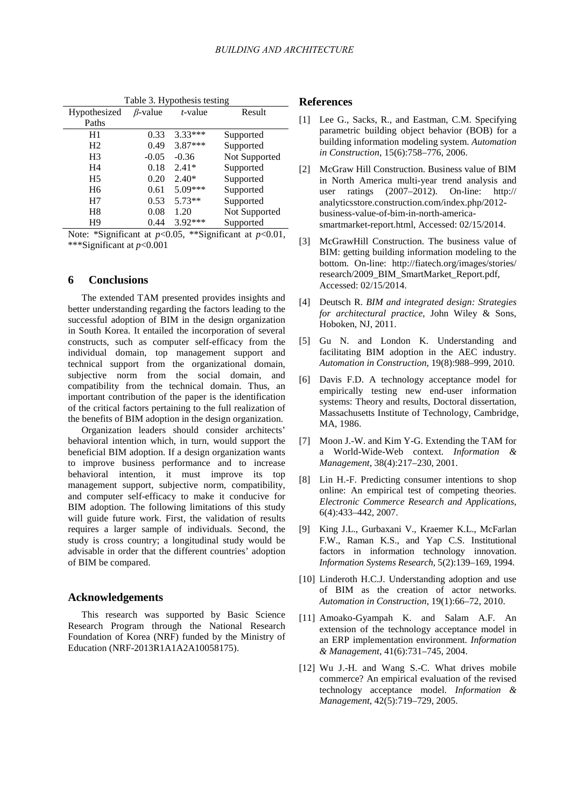| I able 3. Hypothesis testing |                |            |               |  |  |  |  |  |  |
|------------------------------|----------------|------------|---------------|--|--|--|--|--|--|
| Hypothesized                 | $\beta$ -value | $t$ -value | Result        |  |  |  |  |  |  |
| Paths                        |                |            |               |  |  |  |  |  |  |
| H1                           | 0.33           | $3.33***$  | Supported     |  |  |  |  |  |  |
| H2                           | 0.49           | 3.87***    | Supported     |  |  |  |  |  |  |
| H <sub>3</sub>               | $-0.05$        | $-0.36$    | Not Supported |  |  |  |  |  |  |
| H4                           | 0.18           | $2.41*$    | Supported     |  |  |  |  |  |  |
| H <sub>5</sub>               | 0.20           | $2.40*$    | Supported     |  |  |  |  |  |  |
| H6                           | 0.61           | $5.09***$  | Supported     |  |  |  |  |  |  |
| H7                           | 0.53           | 5.73**     | Supported     |  |  |  |  |  |  |
| H8                           | 0.08           | 1.20       | Not Supported |  |  |  |  |  |  |
| H9                           | 0.44           | 3.92***    | Supported     |  |  |  |  |  |  |

 $T_{\rm{B}}$  1.1.  $\sigma$ . Hypothesis testing

Note: \*Significant at *p*<0.05, \*\*Significant at *p*<0.01, \*\*\*Significant at *p*<0.001

# **6 Conclusions**

The extended TAM presented provides insights and better understanding regarding the factors leading to the successful adoption of BIM in the design organization in South Korea. It entailed the incorporation of several constructs, such as computer self-efficacy from the individual domain, top management support and technical support from the organizational domain, subjective norm from the social domain, and compatibility from the technical domain. Thus, an important contribution of the paper is the identification of the critical factors pertaining to the full realization of the benefits of BIM adoption in the design organization.

Organization leaders should consider architects' behavioral intention which, in turn, would support the beneficial BIM adoption. If a design organization wants to improve business performance and to increase behavioral intention, it must improve its top management support, subjective norm, compatibility, and computer self-efficacy to make it conducive for BIM adoption. The following limitations of this study will guide future work. First, the validation of results requires a larger sample of individuals. Second, the study is cross country; a longitudinal study would be advisable in order that the different countries' adoption of BIM be compared.

#### **Acknowledgements**

This research was supported by Basic Science Research Program through the National Research Foundation of Korea (NRF) funded by the Ministry of Education (NRF-2013R1A1A2A10058175).

#### **References**

- [1] Lee G., Sacks, R., and Eastman, C.M. Specifying parametric building object behavior (BOB) for a building information modeling system. *Automation in Construction*, 15(6):758–776, 2006.
- [2] McGraw Hill Construction. Business value of BIM in North America multi-year trend analysis and user ratings (2007–2012). On-line: http:// analyticsstore.construction.com/index.php/2012 business-value-of-bim-in-north-americasmartmarket-report.html, Accessed: 02/15/2014.
- [3] McGrawHill Construction. The business value of BIM: getting building information modeling to the bottom. On-line: http://fiatech.org/images/stories/ research/2009\_BIM\_SmartMarket\_Report.pdf, Accessed: 02/15/2014.
- [4] Deutsch R. *BIM and integrated design: Strategies for architectural practice*, John Wiley & Sons, Hoboken, NJ, 2011.
- [5] Gu N. and London K. Understanding and facilitating BIM adoption in the AEC industry. *Automation in Construction*, 19(8):988–999, 2010.
- [6] Davis F.D. A technology acceptance model for empirically testing new end-user information systems: Theory and results, Doctoral dissertation, Massachusetts Institute of Technology, Cambridge, MA, 1986.
- [7] Moon J.-W. and Kim Y-G. Extending the TAM for a World-Wide-Web context. *Information & Management*, 38(4):217–230, 2001.
- [8] Lin H.-F. Predicting consumer intentions to shop online: An empirical test of competing theories. *Electronic Commerce Research and Applications*, 6(4):433–442, 2007.
- [9] King J.L., Gurbaxani V., Kraemer K.L., McFarlan F.W., Raman K.S., and Yap C.S. Institutional factors in information technology innovation. *Information Systems Research*, 5(2):139–169, 1994.
- [10] Linderoth H.C.J. Understanding adoption and use of BIM as the creation of actor networks. *Automation in Construction*, 19(1):66–72, 2010.
- [11] Amoako-Gyampah K. and Salam A.F. An extension of the technology acceptance model in an ERP implementation environment. *Information & Management*, 41(6):731–745, 2004.
- [12] Wu J.-H. and Wang S.-C. What drives mobile commerce? An empirical evaluation of the revised technology acceptance model. *Information & Management*, 42(5):719–729, 2005.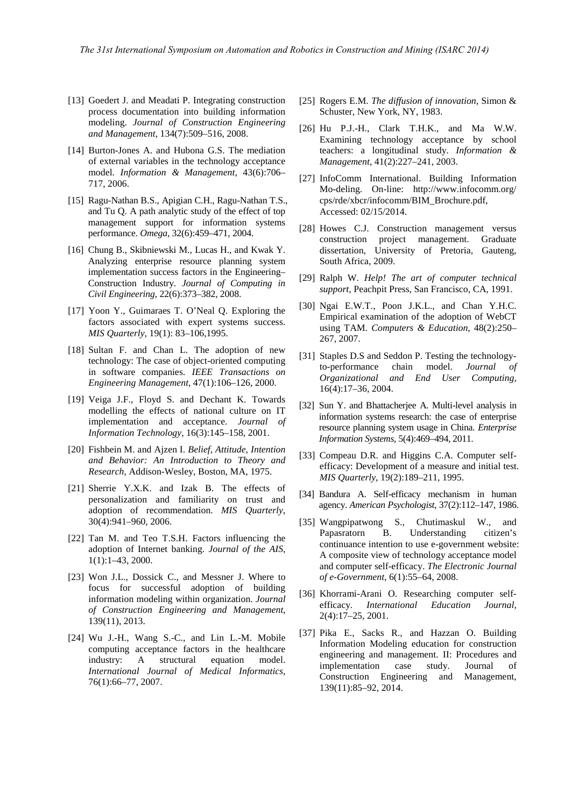- [13] Goedert J. and Meadati P. Integrating construction process documentation into building information modeling. *Journal of Construction Engineering and Management*, 134(7):509–516, 2008.
- [14] Burton-Jones A. and Hubona G.S. The mediation of external variables in the technology acceptance model. *Information & Management*, 43(6):706– 717, 2006.
- [15] Ragu-Nathan B.S., Apigian C.H., Ragu-Nathan T.S., and Tu Q. A path analytic study of the effect of top management support for information systems performance. *Omega*, 32(6):459–471, 2004.
- [16] Chung B., Skibniewski M., Lucas H., and Kwak Y. Analyzing enterprise resource planning system implementation success factors in the Engineering– Construction Industry. *Journal of Computing in Civil Engineering*, 22(6):373–382, 2008.
- [17] Yoon Y., Guimaraes T. O'Neal Q. Exploring the factors associated with expert systems success. *MIS Quarterly*, 19(1): 83–106,1995.
- [18] Sultan F. and Chan L. The adoption of new technology: The case of object-oriented computing in software companies. *IEEE Transactions on Engineering Management*, 47(1):106–126, 2000.
- [19] Veiga J.F., Floyd S. and Dechant K. Towards modelling the effects of national culture on IT implementation and acceptance. *Journal of Information Technology*, 16(3):145–158, 2001.
- [20] Fishbein M. and Ajzen I. *Belief, Attitude, Intention and Behavior: An Introduction to Theory and Research*, Addison-Wesley, Boston, MA, 1975.
- [21] Sherrie Y.X.K. and Izak B. The effects of personalization and familiarity on trust and adoption of recommendation. *MIS Quarterly*, 30(4):941–960, 2006.
- [22] Tan M. and Teo T.S.H. Factors influencing the adoption of Internet banking. *Journal of the AIS*, 1(1):1–43, 2000.
- [23] Won J.L., Dossick C., and Messner J. Where to focus for successful adoption of building information modeling within organization. *Journal of Construction Engineering and Management*, 139(11), 2013.
- [24] Wu J.-H., Wang S.-C., and Lin L.-M. Mobile computing acceptance factors in the healthcare industry: A structural equation model. *International Journal of Medical Informatics*, 76(1):66–77, 2007.
- [25] Rogers E.M. *The diffusion of innovation*, Simon & Schuster, New York, NY, 1983.
- [26] Hu P.J.-H., Clark T.H.K., and Ma W.W. Examining technology acceptance by school teachers: a longitudinal study. *Information & Management*, 41(2):227–241, 2003.
- [27] InfoComm International. Building Information Mo-deling. On-line: http://www.infocomm.org/ cps/rde/xbcr/infocomm/BIM\_Brochure.pdf, Accessed: 02/15/2014.
- [28] Howes C.J. Construction management versus construction project management. Graduate dissertation, University of Pretoria, Gauteng, South Africa, 2009.
- [29] Ralph W. *Help! The art of computer technical support*, Peachpit Press, San Francisco, CA, 1991.
- [30] Ngai E.W.T., Poon J.K.L., and Chan Y.H.C. Empirical examination of the adoption of WebCT using TAM. *Computers & Education*, 48(2):250– 267, 2007.
- [31] Staples D.S and Seddon P. Testing the technologyto-performance chain model. *Journal of Organizational and End User Computing*, 16(4):17–36, 2004.
- [32] Sun Y. and Bhattacherjee A. Multi-level analysis in information systems research: the case of enterprise resource planning system usage in China. *Enterprise Information Systems*, 5(4):469–494, 2011.
- [33] Compeau D.R. and Higgins C.A. Computer selfefficacy: Development of a measure and initial test. *MIS Quarterly*, 19(2):189–211, 1995.
- [34] Bandura A. Self-efficacy mechanism in human agency. *American Psychologist*, 37(2):112–147, 1986.
- [35] Wangpipatwong S., Chutimaskul W., and Papasratorn B. Understanding citizen's continuance intention to use e-government website: A composite view of technology acceptance model and computer self-efficacy. *The Electronic Journal of e-Government*, 6(1):55–64, 2008.
- [36] Khorrami-Arani O. Researching computer selfefficacy. *International Education Journal*, 2(4):17–25, 2001.
- [37] Pika E., Sacks R., and Hazzan O. Building Information Modeling education for construction engineering and management. II: Procedures and implementation case study. Journal of Construction Engineering and Management, 139(11):85–92, 2014.